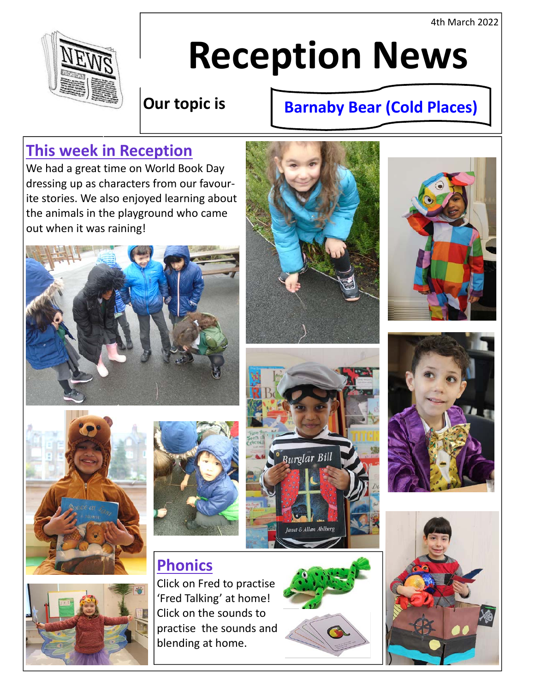4th March 2022



# **Reception News**

# **Our topic is**

# **Barnaby Bear (Cold Places)**

# **This week in Reception**

We had a great time on World Book Day dressing up as characters from our favour‐ ite stories. We also enjoyed learning about the animals in the playground who came out when it was raining!











# **Phonics**

Click on Fred to practise 'Fred Talking' at home! Click on the sounds to practise the sounds and blending at home.